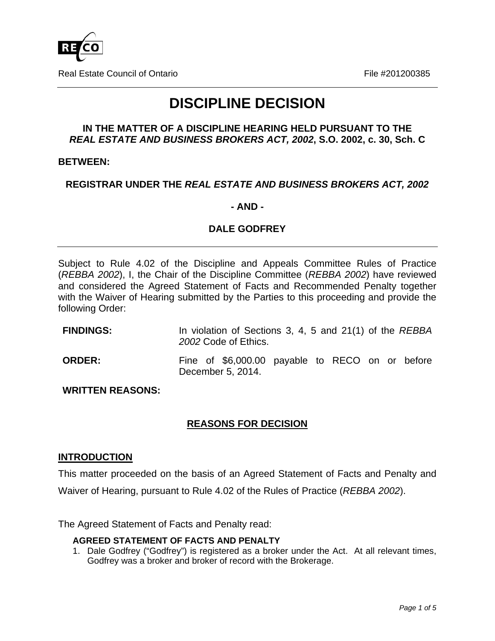

Real Estate Council of Ontario File #201200385

# **DISCIPLINE DECISION**

## **IN THE MATTER OF A DISCIPLINE HEARING HELD PURSUANT TO THE**  *REAL ESTATE AND BUSINESS BROKERS ACT, 2002***, S.O. 2002, c. 30, Sch. C**

## **BETWEEN:**

# **REGISTRAR UNDER THE** *REAL ESTATE AND BUSINESS BROKERS ACT, 2002*

## **- AND -**

# **DALE GODFREY**

Subject to Rule 4.02 of the Discipline and Appeals Committee Rules of Practice (*REBBA 2002*), I, the Chair of the Discipline Committee (*REBBA 2002*) have reviewed and considered the Agreed Statement of Facts and Recommended Penalty together with the Waiver of Hearing submitted by the Parties to this proceeding and provide the following Order:

| <b>FINDINGS:</b> | In violation of Sections 3, 4, 5 and 21(1) of the REBBA<br>2002 Code of Ethics. |  |
|------------------|---------------------------------------------------------------------------------|--|
| <b>ORDER:</b>    | Fine of \$6,000.00 payable to RECO on or before<br>December 5, 2014.            |  |

**WRITTEN REASONS:** 

# **REASONS FOR DECISION**

# **INTRODUCTION**

This matter proceeded on the basis of an Agreed Statement of Facts and Penalty and Waiver of Hearing, pursuant to Rule 4.02 of the Rules of Practice (*REBBA 2002*).

The Agreed Statement of Facts and Penalty read:

#### **AGREED STATEMENT OF FACTS AND PENALTY**

1. Dale Godfrey ("Godfrey") is registered as a broker under the Act. At all relevant times, Godfrey was a broker and broker of record with the Brokerage.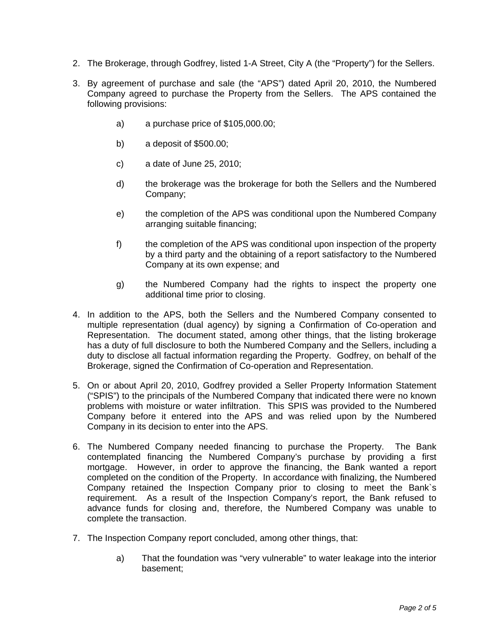- 2. The Brokerage, through Godfrey, listed 1-A Street, City A (the "Property") for the Sellers.
- 3. By agreement of purchase and sale (the "APS") dated April 20, 2010, the Numbered Company agreed to purchase the Property from the Sellers. The APS contained the following provisions:
	- a) a purchase price of \$105,000.00;
	- b) a deposit of \$500.00;
	- c) a date of June 25, 2010;
	- d) the brokerage was the brokerage for both the Sellers and the Numbered Company;
	- e) the completion of the APS was conditional upon the Numbered Company arranging suitable financing;
	- f) the completion of the APS was conditional upon inspection of the property by a third party and the obtaining of a report satisfactory to the Numbered Company at its own expense; and
	- g) the Numbered Company had the rights to inspect the property one additional time prior to closing.
- 4. In addition to the APS, both the Sellers and the Numbered Company consented to multiple representation (dual agency) by signing a Confirmation of Co-operation and Representation. The document stated, among other things, that the listing brokerage has a duty of full disclosure to both the Numbered Company and the Sellers, including a duty to disclose all factual information regarding the Property. Godfrey, on behalf of the Brokerage, signed the Confirmation of Co-operation and Representation.
- 5. On or about April 20, 2010, Godfrey provided a Seller Property Information Statement ("SPIS") to the principals of the Numbered Company that indicated there were no known problems with moisture or water infiltration. This SPIS was provided to the Numbered Company before it entered into the APS and was relied upon by the Numbered Company in its decision to enter into the APS.
- 6. The Numbered Company needed financing to purchase the Property. The Bank contemplated financing the Numbered Company's purchase by providing a first mortgage. However, in order to approve the financing, the Bank wanted a report completed on the condition of the Property. In accordance with finalizing, the Numbered Company retained the Inspection Company prior to closing to meet the Bank`s requirement. As a result of the Inspection Company's report, the Bank refused to advance funds for closing and, therefore, the Numbered Company was unable to complete the transaction.
- 7. The Inspection Company report concluded, among other things, that:
	- a) That the foundation was "very vulnerable" to water leakage into the interior basement;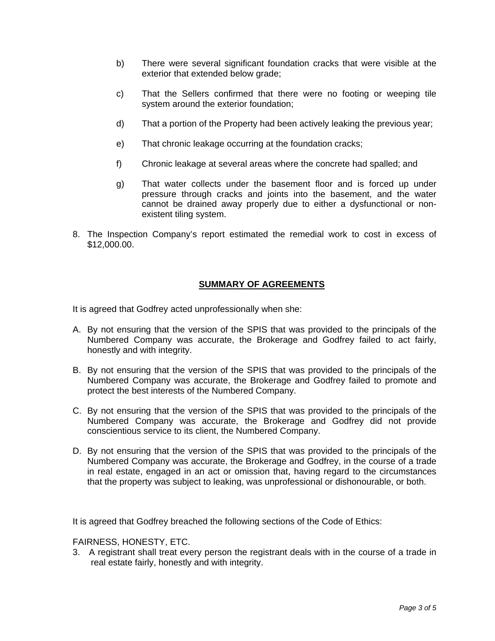- b) There were several significant foundation cracks that were visible at the exterior that extended below grade;
- c) That the Sellers confirmed that there were no footing or weeping tile system around the exterior foundation;
- d) That a portion of the Property had been actively leaking the previous year;
- e) That chronic leakage occurring at the foundation cracks;
- f) Chronic leakage at several areas where the concrete had spalled; and
- g) That water collects under the basement floor and is forced up under pressure through cracks and joints into the basement, and the water cannot be drained away properly due to either a dysfunctional or nonexistent tiling system.
- 8. The Inspection Company's report estimated the remedial work to cost in excess of \$12,000.00.

#### **SUMMARY OF AGREEMENTS**

It is agreed that Godfrey acted unprofessionally when she:

- A. By not ensuring that the version of the SPIS that was provided to the principals of the Numbered Company was accurate, the Brokerage and Godfrey failed to act fairly, honestly and with integrity.
- B. By not ensuring that the version of the SPIS that was provided to the principals of the Numbered Company was accurate, the Brokerage and Godfrey failed to promote and protect the best interests of the Numbered Company.
- C. By not ensuring that the version of the SPIS that was provided to the principals of the Numbered Company was accurate, the Brokerage and Godfrey did not provide conscientious service to its client, the Numbered Company.
- D. By not ensuring that the version of the SPIS that was provided to the principals of the Numbered Company was accurate, the Brokerage and Godfrey, in the course of a trade in real estate, engaged in an act or omission that, having regard to the circumstances that the property was subject to leaking, was unprofessional or dishonourable, or both.

It is agreed that Godfrey breached the following sections of the Code of Ethics:

FAIRNESS, HONESTY, ETC.

3. A registrant shall treat every person the registrant deals with in the course of a trade in real estate fairly, honestly and with integrity.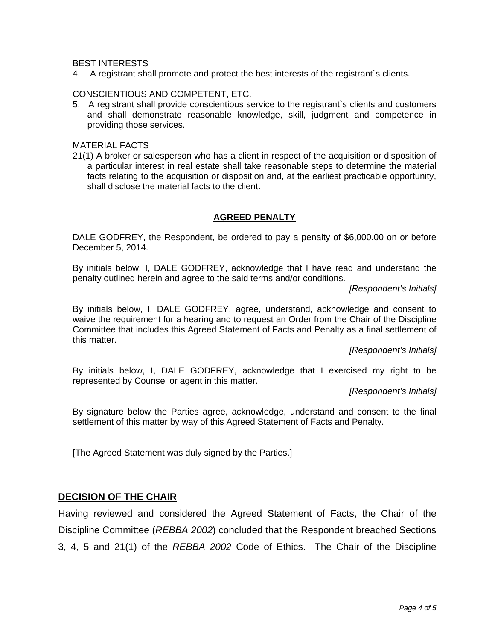#### BEST INTERESTS

4. A registrant shall promote and protect the best interests of the registrant`s clients.

#### CONSCIENTIOUS AND COMPETENT, ETC.

5. A registrant shall provide conscientious service to the registrant`s clients and customers and shall demonstrate reasonable knowledge, skill, judgment and competence in providing those services.

#### MATERIAL FACTS

21(1) A broker or salesperson who has a client in respect of the acquisition or disposition of a particular interest in real estate shall take reasonable steps to determine the material facts relating to the acquisition or disposition and, at the earliest practicable opportunity, shall disclose the material facts to the client.

#### **AGREED PENALTY**

DALE GODFREY, the Respondent, be ordered to pay a penalty of \$6,000.00 on or before December 5, 2014.

By initials below, I, DALE GODFREY, acknowledge that I have read and understand the penalty outlined herein and agree to the said terms and/or conditions.

*[Respondent's Initials]* 

By initials below, I, DALE GODFREY, agree, understand, acknowledge and consent to waive the requirement for a hearing and to request an Order from the Chair of the Discipline Committee that includes this Agreed Statement of Facts and Penalty as a final settlement of this matter.

*[Respondent's Initials]* 

By initials below, I, DALE GODFREY, acknowledge that I exercised my right to be represented by Counsel or agent in this matter.

*[Respondent's Initials]* 

By signature below the Parties agree, acknowledge, understand and consent to the final settlement of this matter by way of this Agreed Statement of Facts and Penalty.

[The Agreed Statement was duly signed by the Parties.]

#### **DECISION OF THE CHAIR**

Having reviewed and considered the Agreed Statement of Facts, the Chair of the Discipline Committee (*REBBA 2002*) concluded that the Respondent breached Sections 3, 4, 5 and 21(1) of the *REBBA 2002* Code of Ethics. The Chair of the Discipline